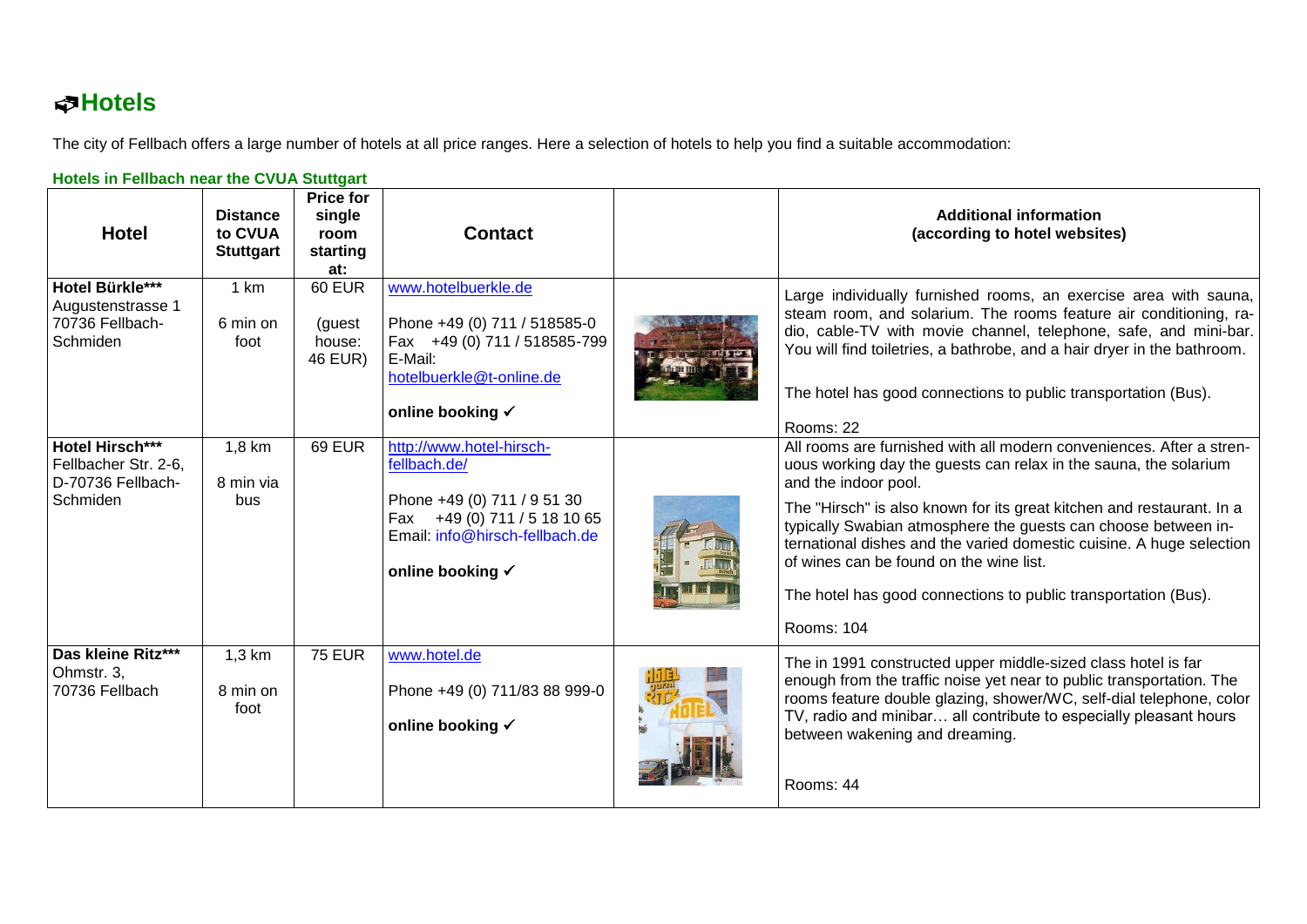## **Hotels**

The city of Fellbach offers a large number of hotels at all price ranges. Here a selection of hotels to help you find a suitable accommodation:

| olois in Femalon near the OTOA olaligant<br><b>Hotel</b>                 | <b>Distance</b><br>to CVUA<br><b>Stuttgart</b> | <b>Price for</b><br>single<br>room<br>starting<br>at: | <b>Contact</b>                                                                                                                                                | <b>Additional information</b><br>(according to hotel websites)                                                                                                                                                                                                                                                                                                                                                                                                                                                 |
|--------------------------------------------------------------------------|------------------------------------------------|-------------------------------------------------------|---------------------------------------------------------------------------------------------------------------------------------------------------------------|----------------------------------------------------------------------------------------------------------------------------------------------------------------------------------------------------------------------------------------------------------------------------------------------------------------------------------------------------------------------------------------------------------------------------------------------------------------------------------------------------------------|
| Hotel Bürkle***<br>Augustenstrasse 1<br>70736 Fellbach-<br>Schmiden      | 1 km<br>6 min on<br>foot                       | 60 EUR<br>(guest<br>house:<br>46 EUR)                 | www.hotelbuerkle.de<br>Phone +49 (0) 711 / 518585-0<br>Fax +49 (0) 711 / 518585-799<br>E-Mail:<br>hotelbuerkle@t-online.de<br>online booking √                | Large individually furnished rooms, an exercise area with sauna,<br>steam room, and solarium. The rooms feature air conditioning, ra-<br>dio, cable-TV with movie channel, telephone, safe, and mini-bar.<br>You will find toiletries, a bathrobe, and a hair dryer in the bathroom.<br>The hotel has good connections to public transportation (Bus).<br>Rooms: 22                                                                                                                                            |
| Hotel Hirsch***<br>Fellbacher Str. 2-6,<br>D-70736 Fellbach-<br>Schmiden | $1,8$ km<br>8 min via<br>bus                   | <b>69 EUR</b>                                         | http://www.hotel-hirsch-<br>fellbach.de/<br>Phone +49 (0) 711 / 9 51 30<br>Fax +49 (0) 711 / 5 18 10 65<br>Email: info@hirsch-fellbach.de<br>online booking √ | All rooms are furnished with all modern conveniences. After a stren-<br>uous working day the guests can relax in the sauna, the solarium<br>and the indoor pool.<br>The "Hirsch" is also known for its great kitchen and restaurant. In a<br>typically Swabian atmosphere the guests can choose between in-<br>ternational dishes and the varied domestic cuisine. A huge selection<br>of wines can be found on the wine list.<br>The hotel has good connections to public transportation (Bus).<br>Rooms: 104 |
| Das kleine Ritz***<br>Ohmstr. 3,<br>70736 Fellbach                       | $1,3$ km<br>8 min on<br>foot                   | <b>75 EUR</b>                                         | www.hotel.de<br>Phone +49 (0) 711/83 88 999-0<br>online booking √                                                                                             | The in 1991 constructed upper middle-sized class hotel is far<br>enough from the traffic noise yet near to public transportation. The<br>rooms feature double glazing, shower/WC, self-dial telephone, color<br>TV, radio and minibar all contribute to especially pleasant hours<br>between wakening and dreaming.<br>Rooms: 44                                                                                                                                                                               |

## **Hotels in Fellbach near the CVUA Stuttgart**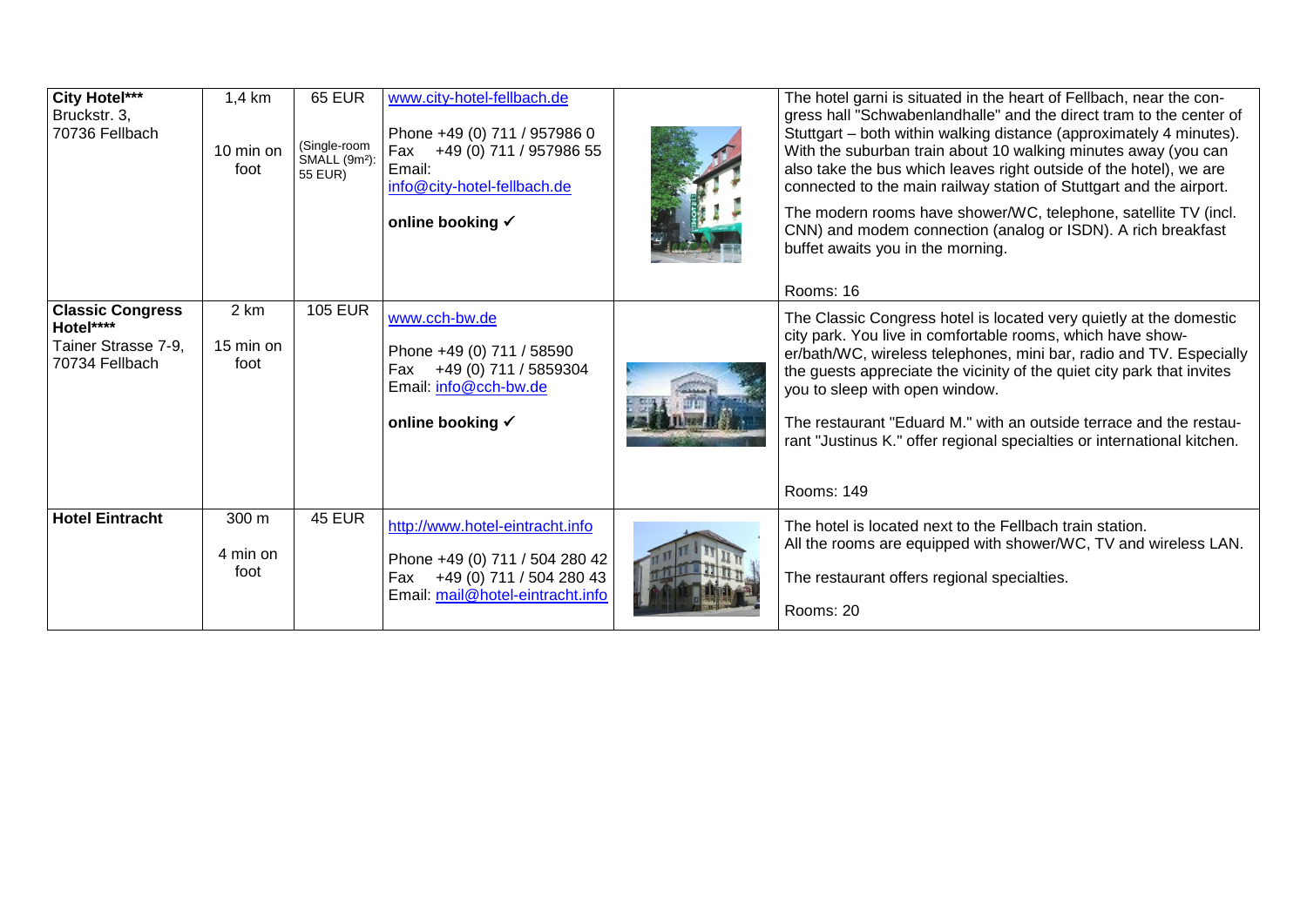| City Hotel***<br>Bruckstr. 3,<br>70736 Fellbach                               | 1,4 km<br>10 min on<br>foot | <b>65 EUR</b><br>(Single-room<br>SMALL (9m <sup>2</sup> ):<br>55 EUR) | www.city-hotel-fellbach.de<br>Phone +49 (0) 711 / 957986 0<br>Fax +49 (0) 711 / 957986 55<br>Email:<br>info@city-hotel-fellbach.de<br>online booking √ | The hotel garni is situated in the heart of Fellbach, near the con-<br>gress hall "Schwabenlandhalle" and the direct tram to the center of<br>Stuttgart - both within walking distance (approximately 4 minutes).<br>With the suburban train about 10 walking minutes away (you can<br>also take the bus which leaves right outside of the hotel), we are<br>connected to the main railway station of Stuttgart and the airport.<br>The modern rooms have shower/WC, telephone, satellite TV (incl.<br>CNN) and modem connection (analog or ISDN). A rich breakfast<br>buffet awaits you in the morning.<br>Rooms: 16 |
|-------------------------------------------------------------------------------|-----------------------------|-----------------------------------------------------------------------|--------------------------------------------------------------------------------------------------------------------------------------------------------|-----------------------------------------------------------------------------------------------------------------------------------------------------------------------------------------------------------------------------------------------------------------------------------------------------------------------------------------------------------------------------------------------------------------------------------------------------------------------------------------------------------------------------------------------------------------------------------------------------------------------|
| <b>Classic Congress</b><br>Hotel****<br>Tainer Strasse 7-9,<br>70734 Fellbach | 2 km<br>15 min on<br>foot   | <b>105 EUR</b>                                                        | www.cch-bw.de<br>Phone +49 (0) 711 / 58590<br>Fax +49 (0) 711 / 5859304<br>Email: info@cch-bw.de<br>online booking √                                   | The Classic Congress hotel is located very quietly at the domestic<br>city park. You live in comfortable rooms, which have show-<br>er/bath/WC, wireless telephones, mini bar, radio and TV. Especially<br>the guests appreciate the vicinity of the quiet city park that invites<br>you to sleep with open window.<br>The restaurant "Eduard M." with an outside terrace and the restau-<br>rant "Justinus K." offer regional specialties or international kitchen.<br>Rooms: 149                                                                                                                                    |
| <b>Hotel Eintracht</b>                                                        | 300 m<br>4 min on<br>foot   | <b>45 EUR</b>                                                         | http://www.hotel-eintracht.info<br>Phone +49 (0) 711 / 504 280 42<br>Fax +49 (0) 711 / 504 280 43<br>Email: mail@hotel-eintracht.info                  | The hotel is located next to the Fellbach train station.<br>All the rooms are equipped with shower/WC, TV and wireless LAN.<br>The restaurant offers regional specialties.<br>Rooms: 20                                                                                                                                                                                                                                                                                                                                                                                                                               |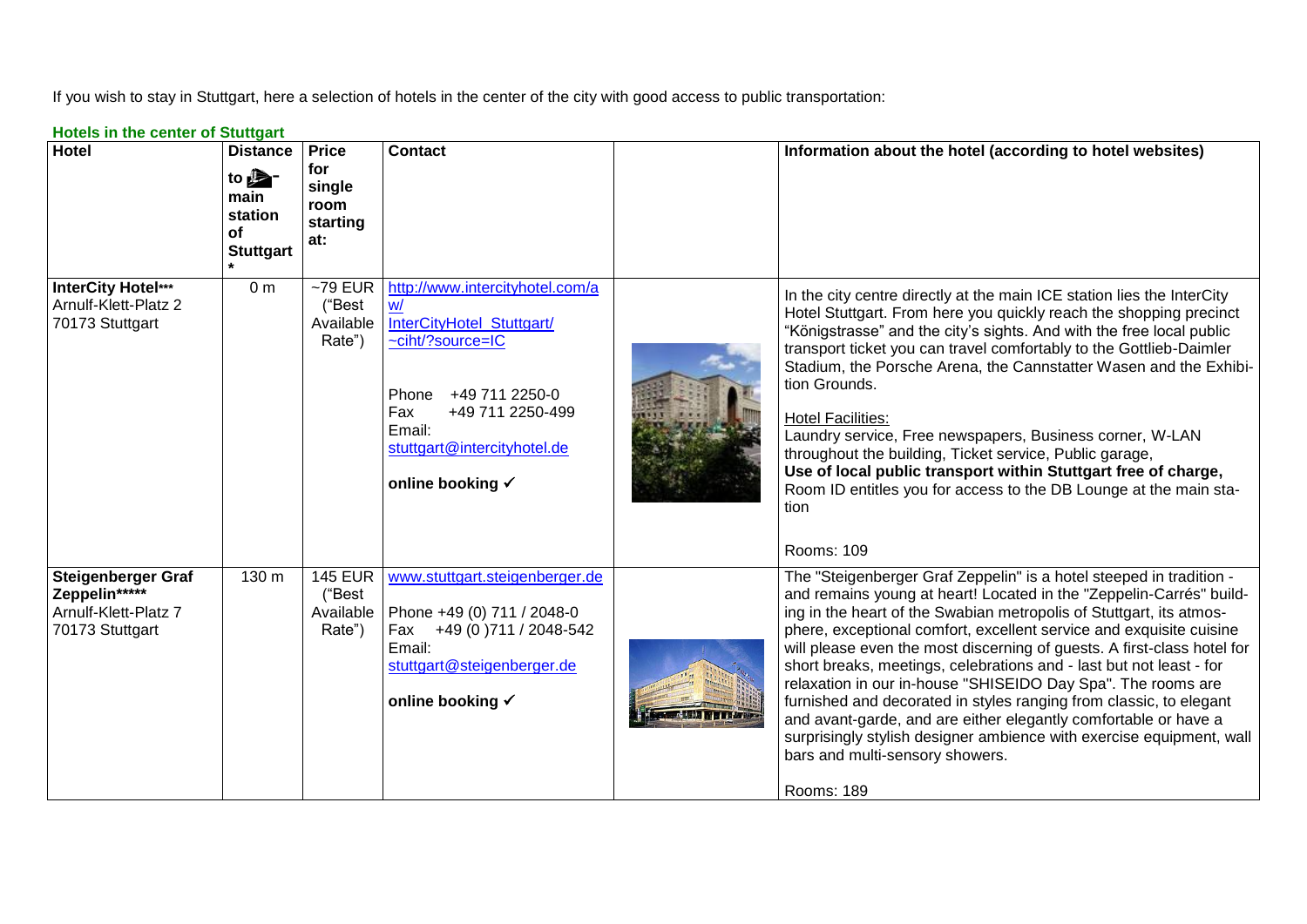If you wish to stay in Stuttgart, here a selection of hotels in the center of the city with good access to public transportation:

| <b>Hotels in the center of Stuttgart</b> |  |
|------------------------------------------|--|
|------------------------------------------|--|

| <b>Hotel</b>                                                                          | <b>Distance</b><br>to $\mathbf{B}^-$<br>main<br>station<br>of<br><b>Stuttgart</b> | <b>Price</b><br>for<br>single<br>room<br>starting<br>at: | <b>Contact</b>                                                                                                                                                                                            | Information about the hotel (according to hotel websites)                                                                                                                                                                                                                                                                                                                                                                                                                                                                                                                                                                                                                                                                                                                    |
|---------------------------------------------------------------------------------------|-----------------------------------------------------------------------------------|----------------------------------------------------------|-----------------------------------------------------------------------------------------------------------------------------------------------------------------------------------------------------------|------------------------------------------------------------------------------------------------------------------------------------------------------------------------------------------------------------------------------------------------------------------------------------------------------------------------------------------------------------------------------------------------------------------------------------------------------------------------------------------------------------------------------------------------------------------------------------------------------------------------------------------------------------------------------------------------------------------------------------------------------------------------------|
| InterCity Hotel***<br>Arnulf-Klett-Platz 2<br>70173 Stuttgart                         | 0 <sub>m</sub>                                                                    | $~179$ EUR<br>("Best<br>Available<br>Rate")              | http://www.intercityhotel.com/a<br>W/<br>InterCityHotel_Stuttgart/<br>~ciht/?source=IC<br>+49 711 2250-0<br>Phone<br>Fax<br>+49 711 2250-499<br>Email:<br>stuttgart@intercityhotel.de<br>online booking √ | In the city centre directly at the main ICE station lies the InterCity<br>Hotel Stuttgart. From here you quickly reach the shopping precinct<br>"Königstrasse" and the city's sights. And with the free local public<br>transport ticket you can travel comfortably to the Gottlieb-Daimler<br>Stadium, the Porsche Arena, the Cannstatter Wasen and the Exhibi-<br>tion Grounds.<br><b>Hotel Facilities:</b><br>Laundry service, Free newspapers, Business corner, W-LAN<br>throughout the building, Ticket service, Public garage,<br>Use of local public transport within Stuttgart free of charge,<br>Room ID entitles you for access to the DB Lounge at the main sta-<br>tion<br>Rooms: 109                                                                            |
| <b>Steigenberger Graf</b><br>Zeppelin*****<br>Arnulf-Klett-Platz 7<br>70173 Stuttgart | 130 m                                                                             | <b>145 EUR</b><br>("Best<br>Available<br>Rate")          | www.stuttgart.steigenberger.de<br>Phone +49 (0) 711 / 2048-0<br>Fax +49 (0) 711 / 2048-542<br>Email:<br>stuttgart@steigenberger.de<br>online booking √                                                    | The "Steigenberger Graf Zeppelin" is a hotel steeped in tradition -<br>and remains young at heart! Located in the "Zeppelin-Carrés" build-<br>ing in the heart of the Swabian metropolis of Stuttgart, its atmos-<br>phere, exceptional comfort, excellent service and exquisite cuisine<br>will please even the most discerning of guests. A first-class hotel for<br>short breaks, meetings, celebrations and - last but not least - for<br>relaxation in our in-house "SHISEIDO Day Spa". The rooms are<br>furnished and decorated in styles ranging from classic, to elegant<br>and avant-garde, and are either elegantly comfortable or have a<br>surprisingly stylish designer ambience with exercise equipment, wall<br>bars and multi-sensory showers.<br>Rooms: 189 |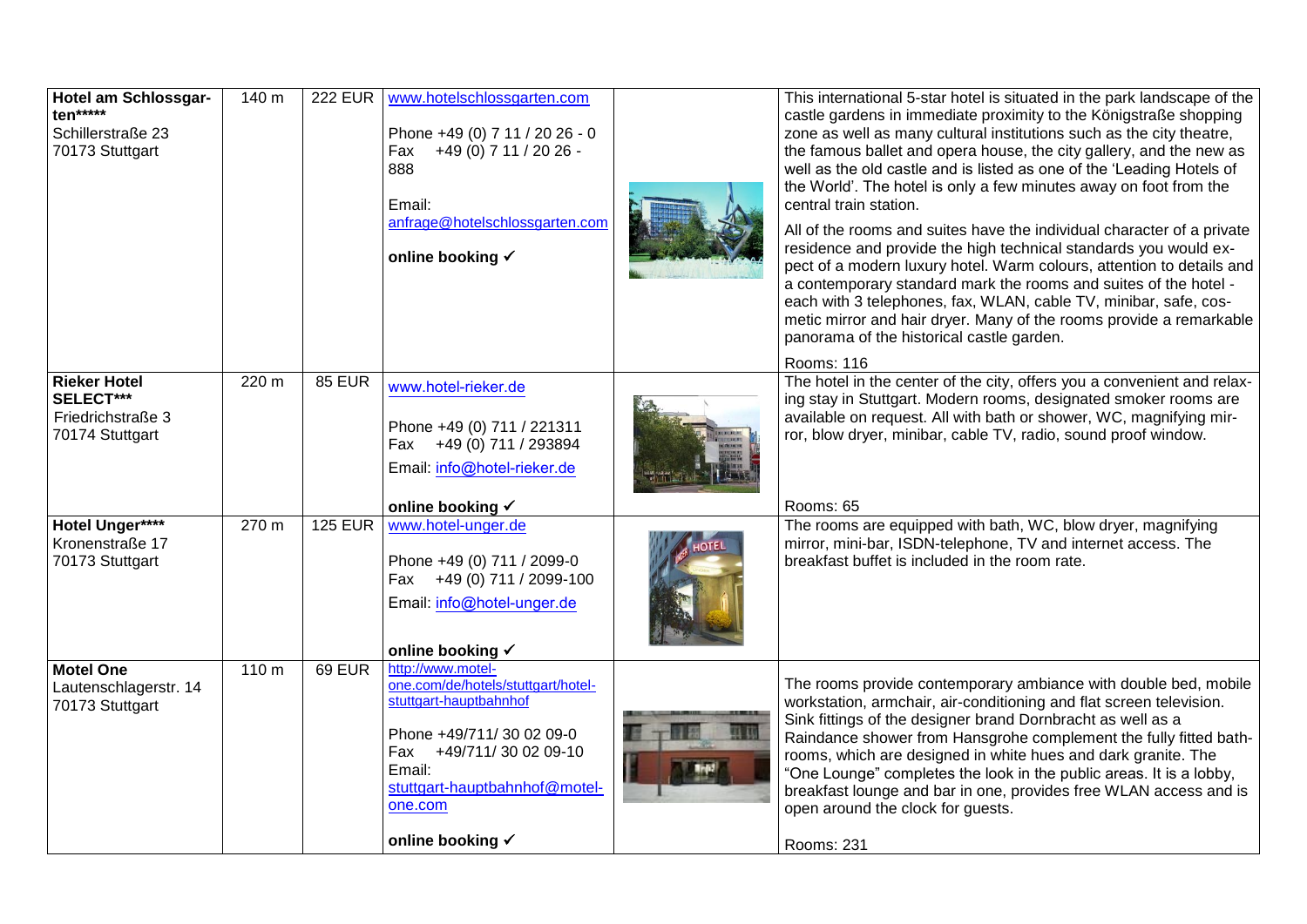| Hotel am Schlossgar-<br>ten*****<br>Schillerstraße 23<br>70173 Stuttgart | 140 m            | <b>222 EUR</b> | www.hotelschlossgarten.com<br>Phone +49 (0) 7 11 / 20 26 - 0<br>Fax +49 (0) 7 11 / 20 26 -<br>888<br>Email:<br>anfrage@hotelschlossgarten.com<br>online booking √                                                  | This international 5-star hotel is situated in the park landscape of the<br>castle gardens in immediate proximity to the Königstraße shopping<br>zone as well as many cultural institutions such as the city theatre,<br>the famous ballet and opera house, the city gallery, and the new as<br>well as the old castle and is listed as one of the 'Leading Hotels of<br>the World'. The hotel is only a few minutes away on foot from the<br>central train station.<br>All of the rooms and suites have the individual character of a private<br>residence and provide the high technical standards you would ex-<br>pect of a modern luxury hotel. Warm colours, attention to details and<br>a contemporary standard mark the rooms and suites of the hotel -<br>each with 3 telephones, fax, WLAN, cable TV, minibar, safe, cos-<br>metic mirror and hair dryer. Many of the rooms provide a remarkable<br>panorama of the historical castle garden.<br>Rooms: 116 |
|--------------------------------------------------------------------------|------------------|----------------|--------------------------------------------------------------------------------------------------------------------------------------------------------------------------------------------------------------------|-----------------------------------------------------------------------------------------------------------------------------------------------------------------------------------------------------------------------------------------------------------------------------------------------------------------------------------------------------------------------------------------------------------------------------------------------------------------------------------------------------------------------------------------------------------------------------------------------------------------------------------------------------------------------------------------------------------------------------------------------------------------------------------------------------------------------------------------------------------------------------------------------------------------------------------------------------------------------|
| <b>Rieker Hotel</b><br>SELECT***<br>Friedrichstraße 3<br>70174 Stuttgart | 220 m            | <b>85 EUR</b>  | www.hotel-rieker.de<br>Phone +49 (0) 711 / 221311<br>Fax +49 (0) 711 / 293894<br>Email: info@hotel-rieker.de<br>online booking √                                                                                   | The hotel in the center of the city, offers you a convenient and relax-<br>ing stay in Stuttgart. Modern rooms, designated smoker rooms are<br>available on request. All with bath or shower, WC, magnifying mir-<br>ror, blow dryer, minibar, cable TV, radio, sound proof window.<br>Rooms: 65                                                                                                                                                                                                                                                                                                                                                                                                                                                                                                                                                                                                                                                                      |
| Hotel Unger****<br>Kronenstraße 17<br>70173 Stuttgart                    | 270 m            | <b>125 EUR</b> | www.hotel-unger.de<br>Phone +49 (0) 711 / 2099-0<br>+49 (0) 711 / 2099-100<br>Fax<br>Email: info@hotel-unger.de<br>online booking √                                                                                | The rooms are equipped with bath, WC, blow dryer, magnifying<br>mirror, mini-bar, ISDN-telephone, TV and internet access. The<br>breakfast buffet is included in the room rate.                                                                                                                                                                                                                                                                                                                                                                                                                                                                                                                                                                                                                                                                                                                                                                                       |
| <b>Motel One</b><br>Lautenschlagerstr. 14<br>70173 Stuttgart             | 110 <sub>m</sub> | <b>69 EUR</b>  | http://www.motel-<br>one.com/de/hotels/stuttgart/hotel-<br>stuttgart-hauptbahnhof<br>Phone +49/711/30 02 09-0<br>Fax +49/711/30 02 09-10<br>Email:<br>stuttgart-hauptbahnhof@motel-<br>one.com<br>online booking √ | The rooms provide contemporary ambiance with double bed, mobile<br>workstation, armchair, air-conditioning and flat screen television.<br>Sink fittings of the designer brand Dornbracht as well as a<br>Raindance shower from Hansgrohe complement the fully fitted bath-<br>rooms, which are designed in white hues and dark granite. The<br>"One Lounge" completes the look in the public areas. It is a lobby,<br>breakfast lounge and bar in one, provides free WLAN access and is<br>open around the clock for guests.<br>Rooms: 231                                                                                                                                                                                                                                                                                                                                                                                                                            |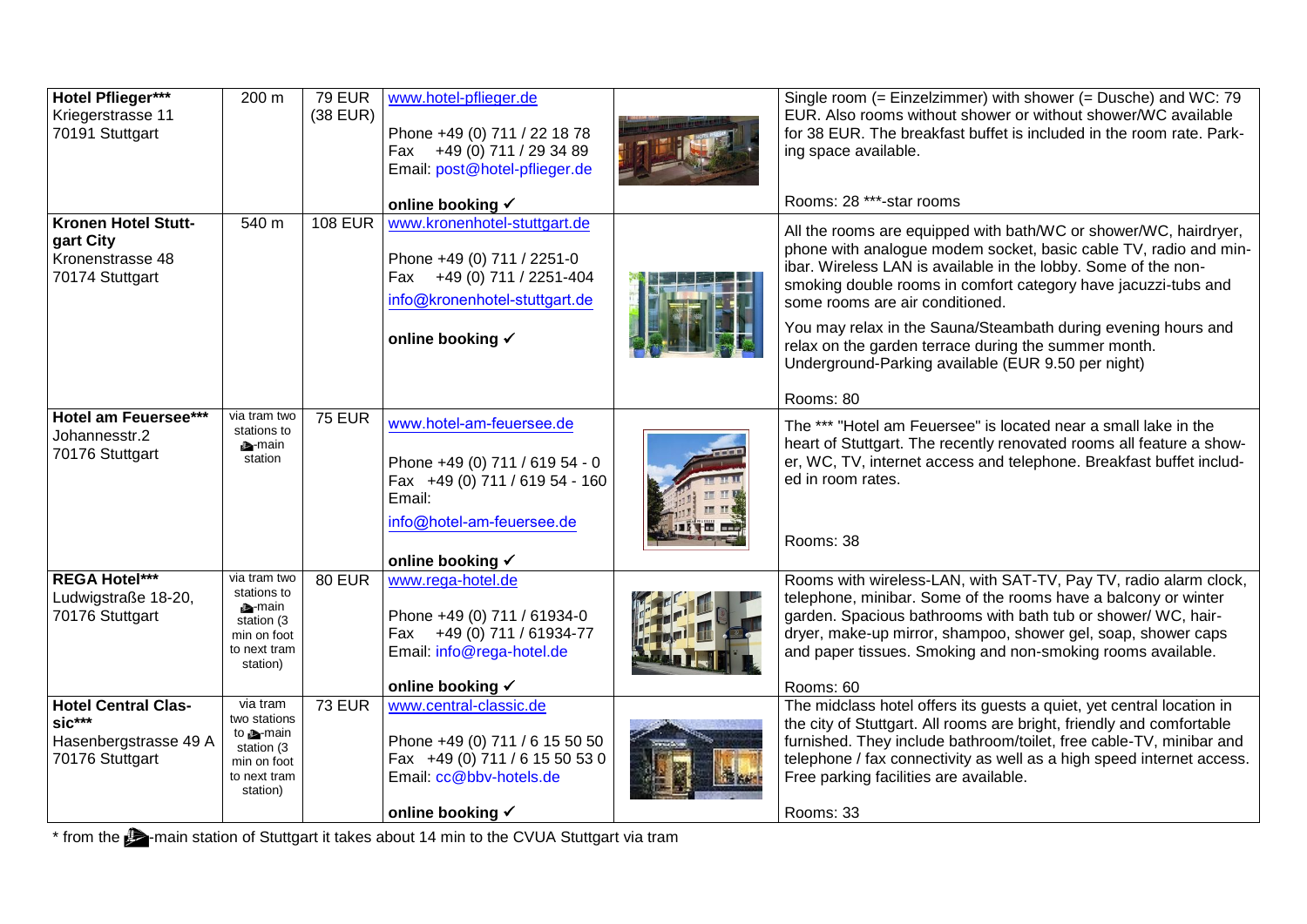| Hotel Pflieger***<br>Kriegerstrasse 11<br>70191 Stuttgart                          | 200 m                                                                                                  | <b>79 EUR</b><br>$(38$ EUR) | www.hotel-pflieger.de<br>Phone +49 (0) 711 / 22 18 78<br>Fax +49 (0) 711 / 29 34 89<br>Email: post@hotel-pflieger.de                                    | Single room (= Einzelzimmer) with shower (= Dusche) and WC: 79<br>EUR. Also rooms without shower or without shower/WC available<br>for 38 EUR. The breakfast buffet is included in the room rate. Park-<br>ing space available.                                                                                                                                                                                                                                                                         |
|------------------------------------------------------------------------------------|--------------------------------------------------------------------------------------------------------|-----------------------------|---------------------------------------------------------------------------------------------------------------------------------------------------------|---------------------------------------------------------------------------------------------------------------------------------------------------------------------------------------------------------------------------------------------------------------------------------------------------------------------------------------------------------------------------------------------------------------------------------------------------------------------------------------------------------|
|                                                                                    |                                                                                                        |                             | online booking √                                                                                                                                        | Rooms: 28 ***-star rooms                                                                                                                                                                                                                                                                                                                                                                                                                                                                                |
| <b>Kronen Hotel Stutt-</b><br>gart City<br>Kronenstrasse 48<br>70174 Stuttgart     | 540 m                                                                                                  | <b>108 EUR</b>              | www.kronenhotel-stuttgart.de<br>Phone +49 (0) 711 / 2251-0<br>Fax +49 (0) 711 / 2251-404<br>info@kronenhotel-stuttgart.de<br>online booking √           | All the rooms are equipped with bath/WC or shower/WC, hairdryer,<br>phone with analogue modem socket, basic cable TV, radio and min-<br>ibar. Wireless LAN is available in the lobby. Some of the non-<br>smoking double rooms in comfort category have jacuzzi-tubs and<br>some rooms are air conditioned.<br>You may relax in the Sauna/Steambath during evening hours and<br>relax on the garden terrace during the summer month.<br>Underground-Parking available (EUR 9.50 per night)<br>Rooms: 80 |
| Hotel am Feuersee***<br>Johannesstr.2<br>70176 Stuttgart                           | via tram two<br>stations to<br><b>A</b> -main<br>station                                               | <b>75 EUR</b>               | www.hotel-am-feuersee.de<br>Phone +49 (0) 711 / 619 54 - 0<br>Fax +49 (0) 711 / 619 54 - 160<br>Email:<br>info@hotel-am-feuersee.de<br>online booking √ | The *** "Hotel am Feuersee" is located near a small lake in the<br>heart of Stuttgart. The recently renovated rooms all feature a show-<br>er, WC, TV, internet access and telephone. Breakfast buffet includ-<br>ed in room rates.<br>Rooms: 38                                                                                                                                                                                                                                                        |
| <b>REGA Hotel***</b><br>Ludwigstraße 18-20,<br>70176 Stuttgart                     | via tram two<br>stations to<br><b>A</b> -main<br>station (3<br>min on foot<br>to next tram<br>station) | <b>80 EUR</b>               | www.rega-hotel.de<br>Phone +49 (0) 711 / 61934-0<br>Fax +49 (0) 711 / 61934-77<br>Email: info@rega-hotel.de<br>online booking √                         | Rooms with wireless-LAN, with SAT-TV, Pay TV, radio alarm clock,<br>telephone, minibar. Some of the rooms have a balcony or winter<br>garden. Spacious bathrooms with bath tub or shower/ WC, hair-<br>dryer, make-up mirror, shampoo, shower gel, soap, shower caps<br>and paper tissues. Smoking and non-smoking rooms available.<br>Rooms: 60                                                                                                                                                        |
| <b>Hotel Central Clas-</b><br>$sic***$<br>Hasenbergstrasse 49 A<br>70176 Stuttgart | via tram<br>two stations<br>to <b>A</b> -main<br>station (3<br>min on foot<br>to next tram<br>station) | <b>73 EUR</b>               | www.central-classic.de<br>Phone +49 (0) 711 / 6 15 50 50<br>Fax +49 (0) 711 / 6 15 50 53 0<br>Email: cc@bbv-hotels.de<br>online booking √               | The midclass hotel offers its guests a quiet, yet central location in<br>the city of Stuttgart. All rooms are bright, friendly and comfortable<br>furnished. They include bathroom/toilet, free cable-TV, minibar and<br>telephone / fax connectivity as well as a high speed internet access.<br>Free parking facilities are available.<br>Rooms: 33                                                                                                                                                   |

\* from the  $\blacktriangleright$ -main station of Stuttgart it takes about 14 min to the CVUA Stuttgart via tram